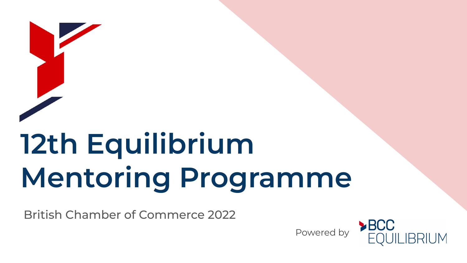# **12th Equilibrium Mentoring Programme**

British Chamber of Commerce 2022

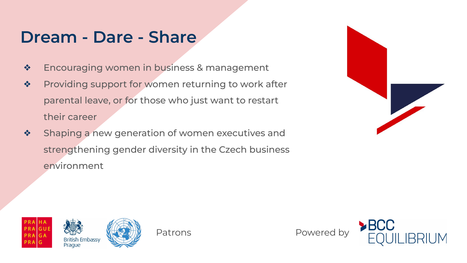#### **Dream - Dare - Share**

- ❖ Encouraging women in business & management
- ❖ Providing support for women returning to work after parental leave, or for those who just want to restart their career
- ❖ Shaping a new generation of women executives and strengthening gender diversity in the Czech business environment





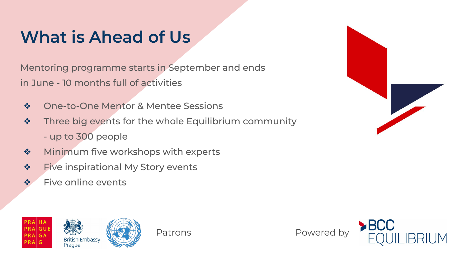# **What is Ahead of Us**

Mentoring programme starts in September and ends in June - 10 months full of activities

- ❖ One-to-One Mentor & Mentee Sessions
- ❖ Three big events for the whole Equilibrium community - up to 300 people
- ❖ Minimum five workshops with experts
- ❖ Five inspirational My Story events
- ❖ Five online events





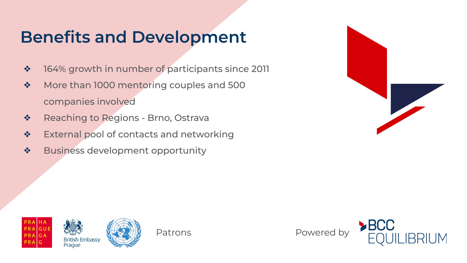## **Benefits and Development**

- ❖ 164% growth in number of participants since 2011
- ❖ More than 1000 mentoring couples and 500 companies involved
- ❖ Reaching to Regions Brno, Ostrava
- ❖ External pool of contacts and networking
- ❖ Business development opportunity







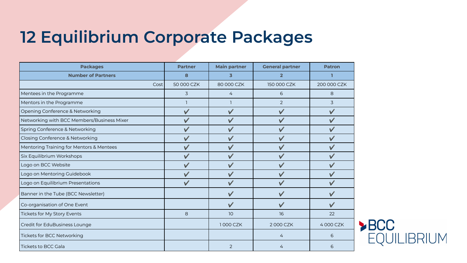### **12 Equilibrium Corporate Packages**

| <b>Packages</b>                            | <b>Partner</b> | <b>Main partner</b> | <b>General partner</b> | <b>Patron</b> |
|--------------------------------------------|----------------|---------------------|------------------------|---------------|
| <b>Number of Partners</b>                  | 8              | 3                   | $\overline{2}$         |               |
| Cost                                       | 50 000 CZK     | 80 000 CZK          | 150 000 CZK            | 200 000 CZK   |
| Mentees in the Programme                   | 3              | 4                   | 6                      | 8             |
| Mentors in the Programme                   |                |                     | $\overline{2}$         | 3             |
| Opening Conference & Networking            |                |                     | $\checkmark$           | $\checkmark$  |
| Networking with BCC Members/Business Mixer |                | $\checkmark$        | $\checkmark$           |               |
| Spring Conference & Networking             |                |                     |                        |               |
| Closing Conference & Networking            |                | $\checkmark$        | ✓                      |               |
| Mentoring Training for Mentors & Mentees   |                |                     |                        |               |
| Six Equilibrium Workshops                  |                | $\vee$              |                        |               |
| Logo on BCC Website                        |                | $\checkmark$        |                        |               |
| Logo on Mentoring Guidebook                |                | $\checkmark$        | ✓                      |               |
| Logo on Equilibrium Presentations          | $\checkmark$   | $\checkmark$        |                        |               |
| Banner in the Tube (BCC Newsletter)        |                | $\vee$              | V                      |               |
| Co-organisation of One Event               |                | $\checkmark$        | V                      |               |
| Tickets for My Story Events                | 8              | 10 <sup>°</sup>     | 16                     | 22            |
| Credit for EduBusiness Lounge              |                | 1000 CZK            | 2000 CZK               | 4000 CZK      |
| Tickets for BCC Networking                 |                |                     | 4                      | 6             |
| <b>Tickets to BCC Gala</b>                 |                | $\overline{2}$      | 4                      | 6             |

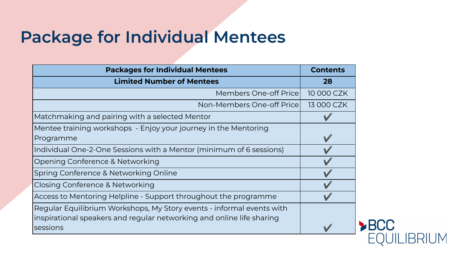#### **Package for Individual Mentees**

| <b>Packages for Individual Mentees</b>                                | <b>Contents</b> |
|-----------------------------------------------------------------------|-----------------|
| <b>Limited Number of Mentees</b>                                      | 28              |
| Members One-off Price                                                 | 10 000 CZK      |
| Non-Members One-off Pricel                                            | 13 000 CZK      |
| Matchmaking and pairing with a selected Mentor                        |                 |
| Mentee training workshops - Enjoy your journey in the Mentoring       |                 |
| Programme                                                             |                 |
| Individual One-2-One Sessions with a Mentor (minimum of 6 sessions)   |                 |
| Opening Conference & Networking                                       |                 |
| Spring Conference & Networking Online                                 |                 |
| Closing Conference & Networking                                       |                 |
| Access to Mentoring Helpline - Support throughout the programme       |                 |
| Regular Equilibrium Workshops, My Story events - informal events with |                 |
| inspirational speakers and regular networking and online life sharing |                 |
| sessions                                                              |                 |
|                                                                       |                 |